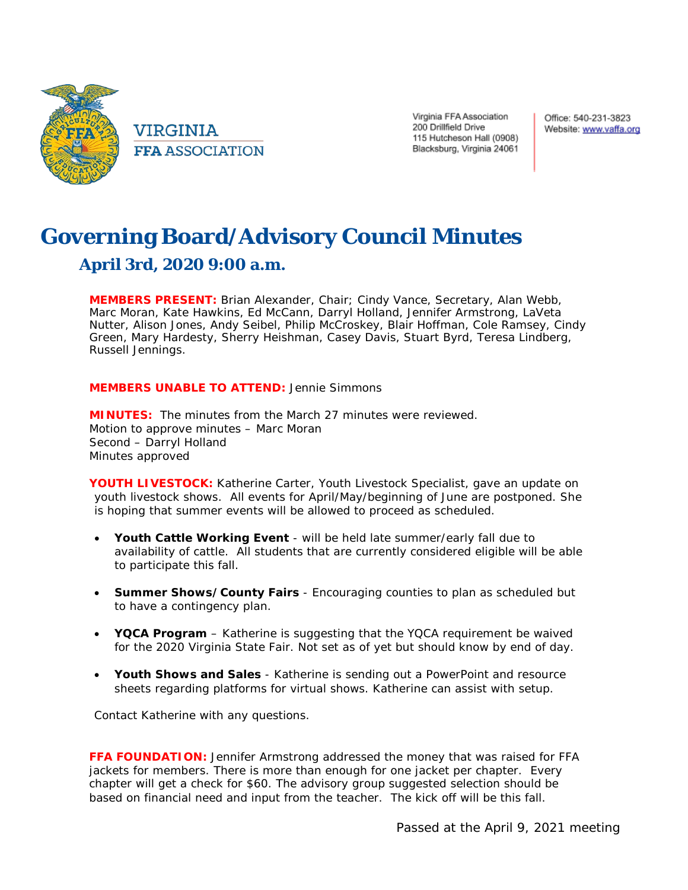

VIRGINIA **FFA ASSOCIATION**  Virginia FFA Association 200 Drillfield Drive 115 Hutcheson Hall (0908) Blacksburg, Virginia 24061 Office: 540-231-3823 Website: www.vaffa.org

# **Governing Board/Advisory Council Minutes April 3rd, 2020 9:00 a.m.**

**MEMBERS PRESENT:** Brian Alexander, Chair; Cindy Vance, Secretary, Alan Webb, Marc Moran, Kate Hawkins, Ed McCann, Darryl Holland, Jennifer Armstrong, LaVeta Nutter, Alison Jones, Andy Seibel, Philip McCroskey, Blair Hoffman, Cole Ramsey, Cindy Green, Mary Hardesty, Sherry Heishman, Casey Davis, Stuart Byrd, Teresa Lindberg, Russell Jennings.

## **MEMBERS UNABLE TO ATTEND:** Jennie Simmons

**MINUTES:** The minutes from the March 27 minutes were reviewed. Motion to approve minutes – Marc Moran Second – Darryl Holland Minutes approved

**YOUTH LIVESTOCK:** Katherine Carter, Youth Livestock Specialist, gave an update on youth livestock shows. All events for April/May/beginning of June are postponed. She is hoping that summer events will be allowed to proceed as scheduled.

- **Youth Cattle Working Event** will be held late summer/early fall due to availability of cattle. All students that are currently considered eligible will be able to participate this fall.
- **Summer Shows/County Fairs** Encouraging counties to plan as scheduled but to have a contingency plan.
- **YQCA Program** Katherine is suggesting that the YQCA requirement be waived for the 2020 Virginia State Fair. Not set as of yet but should know by end of day.
- **Youth Shows and Sales** Katherine is sending out a PowerPoint and resource sheets regarding platforms for virtual shows. Katherine can assist with setup.

*Contact Katherine with any questions.*

**FFA FOUNDATION:** Jennifer Armstrong addressed the money that was raised for FFA jackets for members. There is more than enough for one jacket per chapter. Every chapter will get a check for \$60. The advisory group suggested selection should be based on financial need and input from the teacher. The kick off will be this fall.

*Passed at the April 9, 2021 meeting*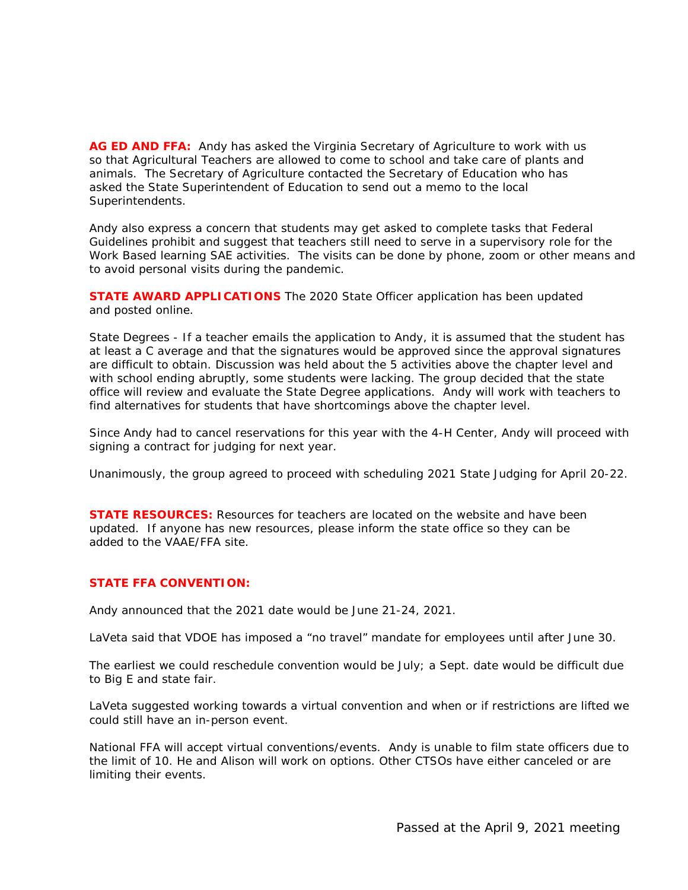**AG ED AND FFA:** Andy has asked the Virginia Secretary of Agriculture to work with us so that Agricultural Teachers are allowed to come to school and take care of plants and animals. The Secretary of Agriculture contacted the Secretary of Education who has asked the State Superintendent of Education to send out a memo to the local Superintendents.

Andy also express a concern that students may get asked to complete tasks that Federal Guidelines prohibit and suggest that teachers still need to serve in a supervisory role for the Work Based learning SAE activities. The visits can be done by phone, zoom or other means and to avoid personal visits during the pandemic.

**STATE AWARD APPLICATIONS** The 2020 State Officer application has been updated and posted online.

State Degrees - If a teacher emails the application to Andy, it is assumed that the student has at least a C average and that the signatures would be approved since the approval signatures are difficult to obtain. Discussion was held about the 5 activities above the chapter level and with school ending abruptly, some students were lacking. The group decided that the state office will review and evaluate the State Degree applications. Andy will work with teachers to find alternatives for students that have shortcomings above the chapter level.

Since Andy had to cancel reservations for this year with the 4-H Center, Andy will proceed with signing a contract for judging for next year.

Unanimously, the group agreed to proceed with scheduling 2021 State Judging for April 20-22.

**STATE RESOURCES:** Resources for teachers are located on the website and have been updated. If anyone has new resources, please inform the state office so they can be added to the VAAE/FFA site.

## **STATE FFA CONVENTION:**

Andy announced that the 2021 date would be June 21-24, 2021.

LaVeta said that VDOE has imposed a "no travel" mandate for employees until after June 30.

The earliest we could reschedule convention would be July; a Sept. date would be difficult due to Big E and state fair.

LaVeta suggested working towards a virtual convention and when or if restrictions are lifted we could still have an in-person event.

National FFA will accept virtual conventions/events. Andy is unable to film state officers due to the limit of 10. He and Alison will work on options. Other CTSOs have either canceled or are limiting their events.